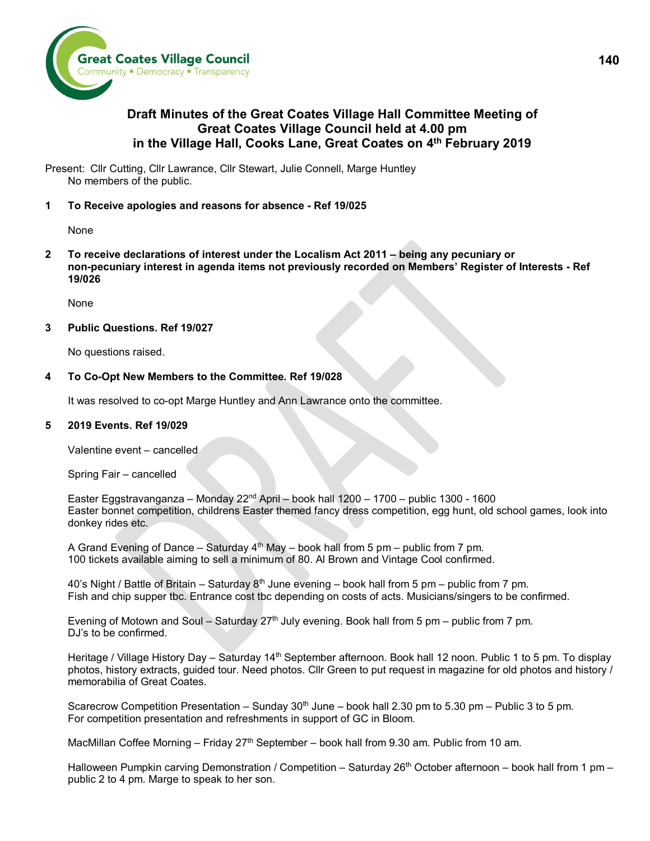

# **Draft Minutes of the Great Coates Village Hall Committee Meeting of Great Coates Village Council held at 4.00 pm in the Village Hall, Cooks Lane, Great Coates on 4th February 2019**

Present: Cllr Cutting, Cllr Lawrance, Cllr Stewart, Julie Connell, Marge Huntley No members of the public.

# **1 To Receive apologies and reasons for absence - Ref 19/025**

None

**2 To receive declarations of interest under the Localism Act 2011 – being any pecuniary or non-pecuniary interest in agenda items not previously recorded on Members' Register of Interests - Ref 19/026**

None

# **3 Public Questions. Ref 19/027**

No questions raised.

### **4 To Co-Opt New Members to the Committee. Ref 19/028**

It was resolved to co-opt Marge Huntley and Ann Lawrance onto the committee.

#### **5 2019 Events. Ref 19/029**

Valentine event – cancelled

Spring Fair – cancelled

Easter Eggstravanganza – Monday 22nd April – book hall 1200 – 1700 – public 1300 - 1600 Easter bonnet competition, childrens Easter themed fancy dress competition, egg hunt, old school games, look into donkey rides etc.

A Grand Evening of Dance – Saturday  $4^{th}$  May – book hall from 5 pm – public from 7 pm. 100 tickets available aiming to sell a minimum of 80. Al Brown and Vintage Cool confirmed.

40's Night / Battle of Britain – Saturday  $8<sup>th</sup>$  June evening – book hall from 5 pm – public from 7 pm. Fish and chip supper tbc. Entrance cost tbc depending on costs of acts. Musicians/singers to be confirmed.

Evening of Motown and Soul – Saturday  $27<sup>th</sup>$  July evening. Book hall from 5 pm – public from 7 pm. DJ's to be confirmed.

Heritage / Village History Day – Saturday 14<sup>th</sup> September afternoon. Book hall 12 noon. Public 1 to 5 pm. To display photos, history extracts, guided tour. Need photos. Cllr Green to put request in magazine for old photos and history / memorabilia of Great Coates.

Scarecrow Competition Presentation – Sunday  $30<sup>th</sup>$  June – book hall 2.30 pm to 5.30 pm – Public 3 to 5 pm. For competition presentation and refreshments in support of GC in Bloom.

MacMillan Coffee Morning – Friday 27<sup>th</sup> September – book hall from 9.30 am. Public from 10 am.

Halloween Pumpkin carving Demonstration / Competition – Saturday 26<sup>th</sup> October afternoon – book hall from 1 pm – public 2 to 4 pm. Marge to speak to her son.